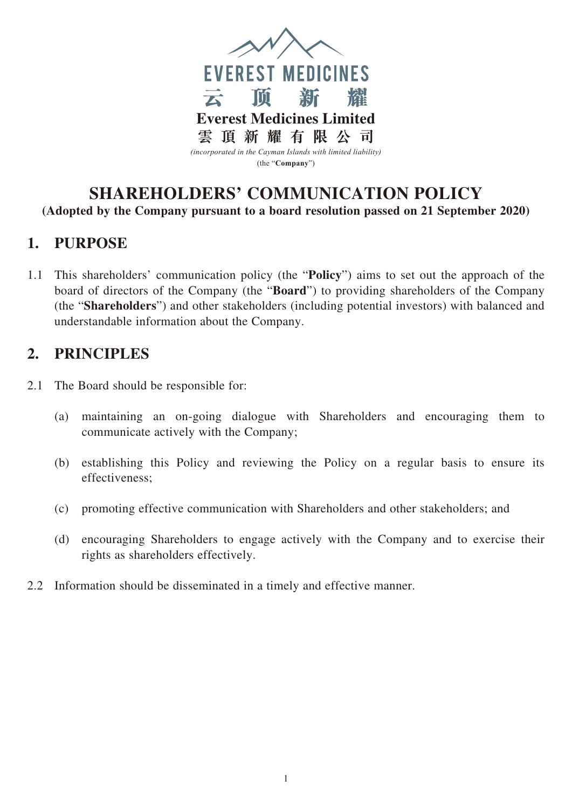

## **SHAREHOLDERS' COMMUNICATION POLICY (Adopted by the Company pursuant to a board resolution passed on 21 September 2020)**

## **1. PURPOSE**

1.1 This shareholders' communication policy (the "**Policy**") aims to set out the approach of the board of directors of the Company (the "**Board**") to providing shareholders of the Company (the "**Shareholders**") and other stakeholders (including potential investors) with balanced and understandable information about the Company.

## **2. PRINCIPLES**

- 2.1 The Board should be responsible for:
	- (a) maintaining an on-going dialogue with Shareholders and encouraging them to communicate actively with the Company;
	- (b) establishing this Policy and reviewing the Policy on a regular basis to ensure its effectiveness;
	- (c) promoting effective communication with Shareholders and other stakeholders; and
	- (d) encouraging Shareholders to engage actively with the Company and to exercise their rights as shareholders effectively.
- 2.2 Information should be disseminated in a timely and effective manner.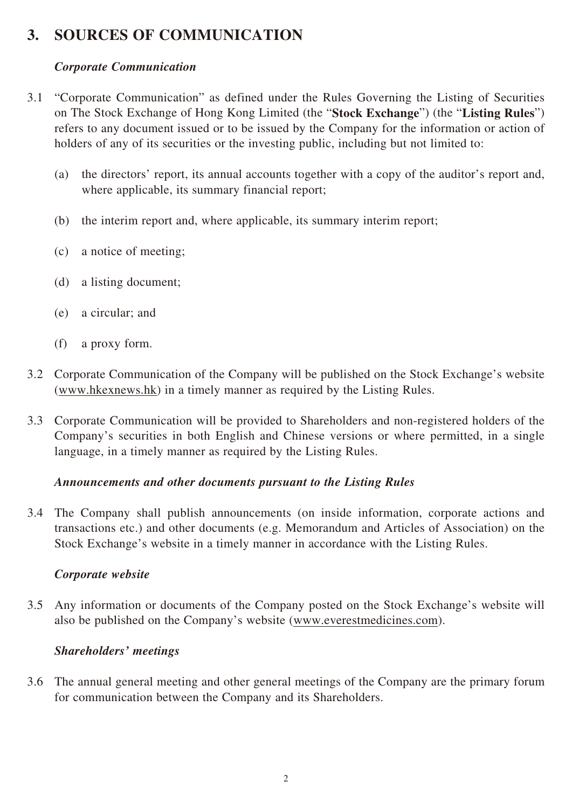# **3. SOURCES OF COMMUNICATION**

### *Corporate Communication*

- 3.1 "Corporate Communication" as defined under the Rules Governing the Listing of Securities on The Stock Exchange of Hong Kong Limited (the "**Stock Exchange**") (the "**Listing Rules**") refers to any document issued or to be issued by the Company for the information or action of holders of any of its securities or the investing public, including but not limited to:
	- (a) the directors' report, its annual accounts together with a copy of the auditor's report and, where applicable, its summary financial report;
	- (b) the interim report and, where applicable, its summary interim report;
	- (c) a notice of meeting;
	- (d) a listing document;
	- (e) a circular; and
	- (f) a proxy form.
- 3.2 Corporate Communication of the Company will be published on the Stock Exchange's website (www.hkexnews.hk) in a timely manner as required by the Listing Rules.
- 3.3 Corporate Communication will be provided to Shareholders and non-registered holders of the Company's securities in both English and Chinese versions or where permitted, in a single language, in a timely manner as required by the Listing Rules.

#### *Announcements and other documents pursuant to the Listing Rules*

3.4 The Company shall publish announcements (on inside information, corporate actions and transactions etc.) and other documents (e.g. Memorandum and Articles of Association) on the Stock Exchange's website in a timely manner in accordance with the Listing Rules.

#### *Corporate website*

3.5 Any information or documents of the Company posted on the Stock Exchange's website will also be published on the Company's website (www.everestmedicines.com).

### *Shareholders' meetings*

3.6 The annual general meeting and other general meetings of the Company are the primary forum for communication between the Company and its Shareholders.